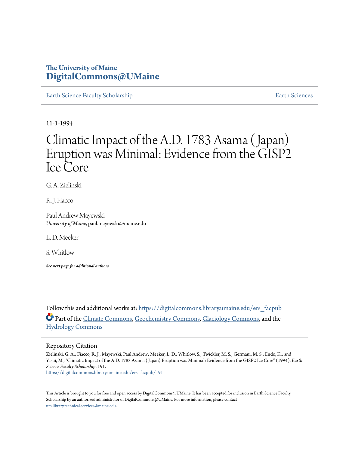# **The University of Maine [DigitalCommons@UMaine](https://digitalcommons.library.umaine.edu?utm_source=digitalcommons.library.umaine.edu%2Fers_facpub%2F191&utm_medium=PDF&utm_campaign=PDFCoverPages)**

[Earth Science Faculty Scholarship](https://digitalcommons.library.umaine.edu/ers_facpub?utm_source=digitalcommons.library.umaine.edu%2Fers_facpub%2F191&utm_medium=PDF&utm_campaign=PDFCoverPages) **[Earth Sciences](https://digitalcommons.library.umaine.edu/ers?utm_source=digitalcommons.library.umaine.edu%2Fers_facpub%2F191&utm_medium=PDF&utm_campaign=PDFCoverPages)** 

11-1-1994

# Climatic Impact of the A.D. 1783 Asama (Japan) Eruption was Minimal: Evidence from the GISP2 Ice Core

G. A. Zielinski

R. J. Fiacco

Paul Andrew Mayewski *University of Maine*, paul.mayewski@maine.edu

L. D. Meeker

S. Whitlow

*See next page for additional authors*

Follow this and additional works at: [https://digitalcommons.library.umaine.edu/ers\\_facpub](https://digitalcommons.library.umaine.edu/ers_facpub?utm_source=digitalcommons.library.umaine.edu%2Fers_facpub%2F191&utm_medium=PDF&utm_campaign=PDFCoverPages) Part of the [Climate Commons,](http://network.bepress.com/hgg/discipline/188?utm_source=digitalcommons.library.umaine.edu%2Fers_facpub%2F191&utm_medium=PDF&utm_campaign=PDFCoverPages) [Geochemistry Commons,](http://network.bepress.com/hgg/discipline/157?utm_source=digitalcommons.library.umaine.edu%2Fers_facpub%2F191&utm_medium=PDF&utm_campaign=PDFCoverPages) [Glaciology Commons](http://network.bepress.com/hgg/discipline/159?utm_source=digitalcommons.library.umaine.edu%2Fers_facpub%2F191&utm_medium=PDF&utm_campaign=PDFCoverPages), and the [Hydrology Commons](http://network.bepress.com/hgg/discipline/1054?utm_source=digitalcommons.library.umaine.edu%2Fers_facpub%2F191&utm_medium=PDF&utm_campaign=PDFCoverPages)

## Repository Citation

Zielinski, G. A.; Fiacco, R. J.; Mayewski, Paul Andrew; Meeker, L. D.; Whitlow, S.; Twickler, M. S.; Germani, M. S.; Endo, K.; and Yasui, M., "Climatic Impact of the A.D. 1783 Asama ( Japan) Eruption was Minimal: Evidence from the GISP2 Ice Core" (1994). *Earth Science Faculty Scholarship*. 191. [https://digitalcommons.library.umaine.edu/ers\\_facpub/191](https://digitalcommons.library.umaine.edu/ers_facpub/191?utm_source=digitalcommons.library.umaine.edu%2Fers_facpub%2F191&utm_medium=PDF&utm_campaign=PDFCoverPages)

This Article is brought to you for free and open access by DigitalCommons@UMaine. It has been accepted for inclusion in Earth Science Faculty Scholarship by an authorized administrator of DigitalCommons@UMaine. For more information, please contact [um.library.technical.services@maine.edu](mailto:um.library.technical.services@maine.edu).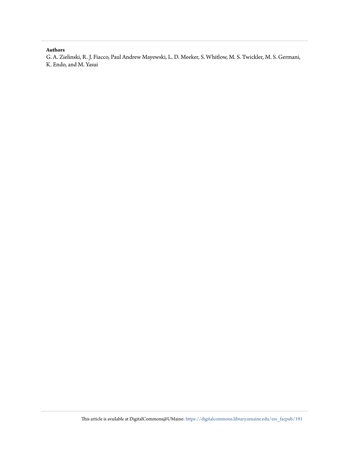## **Authors**

G. A. Zielinski, R. J. Fiacco, Paul Andrew Mayewski, L. D. Meeker, S. Whitlow, M. S. Twickler, M. S. Germani, K. Endo, and M. Yasui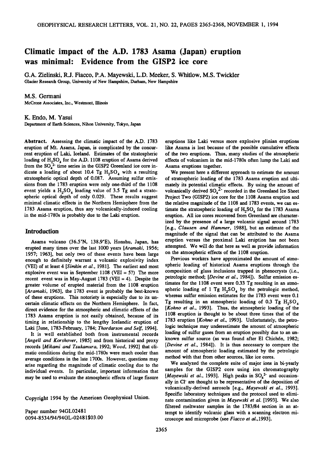# **Climatic impact of the A.D. 1783 Asama (Japan) eruption was minimal: Evidence from the GISP2 ice core**

**G.A. Zielinski, R.J. Fiacco, P.A. Mayewski, L.D. Meeker, S.Whitlow, M.S. Twickler Glacier Research Group, University of New Hampshire, Durham, New Hampshire** 

#### **M.S. Germani**

**McCrone Associates, Inc., Westmont, Illinois** 

#### **K. Endo, M. Y asui**

**Department of Earth Sciences, Nihon University, Tokyo, Japan** 

**Abstract. Assessing the climatic impact of the A,D. 1783 eruption of Mt, Asama, Japan, is complicated by the concurrent eruption of Laki, Iceland. Estimates of the stratospheric**  loading of H<sub>2</sub>SO<sub>4</sub> for the A.D. 1108 eruption of Asama derived from the SO<sub>4</sub><sup>2</sup> time series in the GISP2 Greenland ice core indicate a loading of about 10.4 Tg H<sub>2</sub>SO<sub>4</sub> with a resulting **stratospheric optical depth of 0,087. Assuming sulfur emissions from the 1783 eruption were only one-third of the 1108**  event yields a H<sub>2</sub>SO<sub>4</sub> loading value of 3.5 Tg and a strato**spheric optical depth of only 0.029. These results suggest minimal climatic effects in the Northern Hemisphere from the 1783 Asama eruption, thus any volcanically-induced cooling in the mid-1780s is probably due to the Laki eruption.** 

#### **Introduction**

Asama volcano (36.5°N, 138.9°E), Honshu, Japan, has **erupted many times over the last 1000 years [Aramaki, 1956; 1957; 1963], but only two of these events have been large enough to definitely warrant a volcanic explosivity index**  (VEI) of at least 4 [Simkin et al., 1981]. The earliest and most **explosive event was in September 1108 (VEI = 5?) The more recent event was in May-August 1783 (VEI = 4). Despite the greater volume of erupted material from the 1108 eruption**  [Aramaki, 1963], the 1783 event is probably the best-known **of these eruptions. This notoriety is especially due to its uncertain climatic effects on the Northern Hemisphere. In fact, direct evidence for the atmospheric and climatic effects of the 1783 Asama eruption is not easily obtained, because of its timing in relationship to the lengthy Icelandic eruption of Laki [June, 1783-February, 1784; Thordarson and Self, 1994].** 

It is well established both from instrumental records **[Angell and Korshover, 1985] and from historical and proxy**  records [Mikami and Tsukamura, 1992; Wood, 1992] that cli**matic conditions during the mid-1780s were much cooler than average conditions in the late 1700s. However, questions may arise regarding the magnitude of climatic cooling due to the individual events. In particular, important information that may be used to evaluate the atmospheric effects of large fissure** 

**Copyright 1994 by the American Geophysical Union.** 

**paper number 94GL02481 0094-8534/94/94GL-02481 \$03.00**  **eruptions like Laki versus more explosive plinian eruptions like Asama is lost because of the possible cumulative effects of the two eruptions. Thus, many studies of the atmospheric**  effects of volcanism in the mid-1780s often lump the Laki and **Asama eruptions together.** 

**We present here a different approach to estimate the amount of stratospheric loading of the 1783 Asama eruption and ultimately its potential climatic effects. By using the amount of**  volcanically derived  $SO_4^2$ <sup>-</sup> recorded in the Greenland Ice Sheet **Project Two (GISP2) ice core for the 1108 Asama eruption and the relative magnitude of the 1108 and 1783 events, we can es**timate the stratospheric loading of H<sub>2</sub>SO<sub>4</sub> for the 1783 Asama **eruption. All ice cores recovered from Greenland are characterized by the presence of a large volcanic signal around 1783 [e.g., Clausen and Hammer, 1988], but an estimate of the magnitude of the signal that can be attributed to the Asama eruption versus the proximal Laki eruption has not been attempted. We will do that here as well as provide information on the atmospheric effects of the 1108 eruption.** 

**Previous workers have approximated the amount of atmospheric loading of historical Asama eruptions through the composition of glass inclusions trapped in phenocrysts (i.e., petrologic method; [Devine et al., 1984]). Sulfur emission estimates for the 1108 event were 0.33 Tg resulting in an atmo**spheric loading of 1 Tg H<sub>2</sub>SO<sub>4</sub> by the petrologic method, **whereas sulfur emission estimates for the 1783 event were 0.1**  Tg resulting in an atmospheric loading of 0.3 Tg H<sub>2</sub>SO<sub>4</sub> **[Kohno et al., 1993]. Thus, the atmospheric loading of the 1108 eruption is thought to be about three times that of the 1783 eruption [Kohno et al., 1993]. Unfortunately, the petrologic technique may underestimate the amount of atmospheric loading of sulfur gases from an eruption possibly due to an unknown sulfur source (as was found after E1 Chich6n, 1982; [Devine et al., 1984]). It is thus necessary to compare the**  amount of atmospheric loading estimated by the petrologic **method with that from other sources, like ice cores.** 

**We analyzed the complete suite of major ions in bi-yearly samples for the GISP2 core using ion chromatography**  [Mayewski et al., 1993]. High peaks in SO<sub>4</sub><sup>2</sup> and occasion**ally in CI' are thought to be representative of the deposition of volcanically-derived aerosols [e.g., Mayewski et al., 1993]. Specific laboratory techniques and the protocol used to elimi**nate contamination given in *Mayewski et al.* [1993]. We also **filtered meltwater samples in the 1783/84 section in an attempt to identify volcanic glass with a scanning electron microscope and microprobe (see Fiacco et a/.,1993].**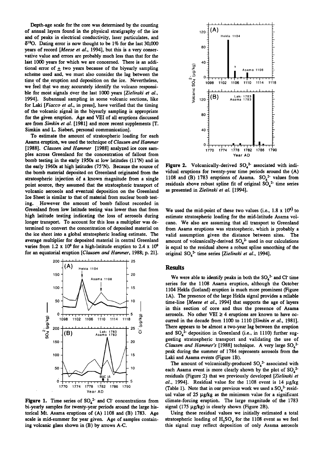**Depth-age scale for the core was determined by the counting of annual layers found in the physical stratigraphy of the ice**  and of peaks in electrical conductivity, laser particulates, and **•5•80. Dating error is now thought to be 1% for the last 30,000**  years of record [Meese et al., 1994], but this is a very conser**vative value and errors are probably much less than that for the**  last 1000 years for which we are concerned. There is an additional error of  $\pm$  two years because of the biyearly sampling scheme used and, we must also consider the lag between the time of the eruption and deposition on the ice. Nevertheless, **we feel that we may accurately identify the volcano responsi**ble for most signals over the last 1000 years [Zielinski et al., **1994]. Subannual sampling in some volcanic sections, like for Laki [Fiacco et al., in press], have verified that the timing**  of the volcanic signal in the biyearly sampling is appropriate for the given eruption. Age and VEI of all eruptions discussed are from Simkin et al. [1981] and more recent supplements [T. **Simkin and L. Siebert, personal communication].** 

**To estimate the amount of stratospheric loading for each Asama eruption, we used the technique of Clausen and Hammer [1988]. Clausen and Hammer [1988] analyzed ice core samples across Greenland for the concentration of fallout from**  bomb testing in the early 1950s at low latitudes (11°N) and in the early 1960s at high latitudes (75°N). Because the source of **the bomb material deposited on Greenland originated from the stratospheric injection of a known magnitude from a single point source, they assumed that the stratospheric transport of**  volcanic aerosols and eventual deposition on the Greenland **Ice Sheet is similar to that of material from nuclear bomb testing. However the amount of bomb fallout recorded in Greenland from low latitude testing Was lower than that from high latitude testing indicating the loss of aerosols during longer transport. To account for this loss a multiplier was determined to convert the concentration of deposited material on the ice' sheet into a global stratospheric loading estimate. The**  average multiplier for deposited material in central Greenland varies from 1.2 x  $10^9$  for a high-latitude eruption to 2.4 x  $10^9$ **for an equatorial eruption [Clausen and Hammer, 1988; p. 21].** 



Figure 1. Time series of  $SO_4^2$  and CI<sup>-</sup> concentrations from bi-yearly samples for twenty-year periods around the large his**torical Mt. Asama eruptions of (A) 1108 and (B) 1783. Age scale is mid-summer for year given. Age of samples containing volcanic glass shown in (B) by arrows A-C.** 



Figure 2. Volcanically-derived SO<sub>4</sub><sup>2</sup> associated with indi**vidual eruptions for twenty-year time periods around the (A)**  1108 and (B) 1783 eruptions of Asama. SO<sub>4</sub><sup>2</sup> values from residuals above robust spline fit of original SO<sub>4</sub><sup>2</sup> time series **as presented in Zielinski et al. [1994].** 

We used the mid-point of these two values (i.e.,  $1.8 \times 10^{9}$ ) to **estimate stratospheric loading for the mid-latitude Asama volcano. We also are assuming that all transport to Greenland from Asama eruptions was stratospheric, which is probably a valid assumption given the distance between sites. The**  amount of volcanically-derived SO<sub>4</sub><sup>2</sup> used in our calculations **is equal to the residual above a robust spline smoothing of the**  original SO<sub>4</sub><sup>2</sup> time series [Zielinski et al., 1994].

## **Results**

We were able to identify peaks in both the SO<sub>4</sub><sup>2</sup> and Cl<sup>-</sup> time **series for the 1108 Asama eruption, although the October 1104 Hekla (Iceland) eruption is much more prominent (Figure 1A). The presence of the large Hekla signal provides a reliable time-line [Meese et al., 1994] that supports the age of layers in this section of core and thus the presence of Asama**  aerosols. No other  $VEI \geq 4$  eruptions are known to have occurred in the decade from 1100 to 1110 [Simkin et al., 1981]. **There appears to be almost a two-year lag between the eruption**  and SO<sub>4</sub><sup>2</sup> deposition in Greenland (i.e., in 1110) further sug**gesting stratospheric transport and validating the use of**  Clausen and Hammer's [1988] technique. A very large SO<sub>4</sub><sup>2</sup> **peak during the summer of 1784 represents aerosols from the Laki and Asama events (Figure lB).** 

The amount of volcanically-produced SO<sub>4</sub><sup>2</sup> associated with each Asama event is more clearly shown by the plot of  $SO_4^2$ <sup>2</sup> residuals (Figure 2) that we previously developed [Zielinski et al., 1994]. Residual value for the 1108 event is 14 µg/kg (Table 1). Note that in our previous work we used a SO<sub>4</sub><sup>2</sup> residual value of 25  $\mu$ g/kg as the minimum value for a significant **climate.forcing eruption. The large magnitude of the 1783**  signal (175  $\mu$ g/kg) is clearly shown (Figure 2B).

**Using these residual values we initially estimated a total**  stratospheric loading of H<sub>2</sub>SO<sub>4</sub> for the 1108 event as we feel **this signal may reflect deposition of only Asama aerosols**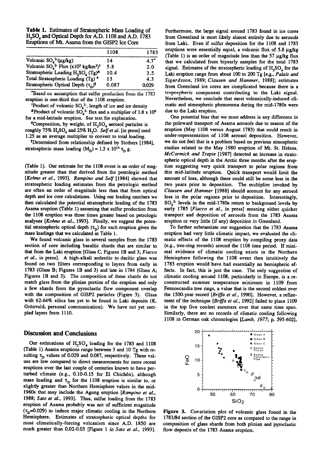**Table 1. Estimates of Stratospheric Mass Loading of**  H<sub>2</sub>SO<sub>4</sub> and Optical Depth for A.D. 1108 and A.D. 1783 **Eruptions of Mt. Asama from the GISP2 Ice Core** 

|                                                                                                | 1108  | 1783    |
|------------------------------------------------------------------------------------------------|-------|---------|
| Volcanic $SO_4^2(\mu g/kg)$                                                                    | 14    | $4.7^*$ |
| Volcanic SO <sub>4</sub> <sup>2</sup> Flux (x10 <sup>3</sup> kg/km <sup>2</sup> ) <sup>†</sup> | 5.8   | 2.0     |
| Stratospheric Loading $H_2SO_4$ (Tg) <sup>&amp;</sup>                                          | 10.4  | 3.5     |
| Total Stratospheric Loading (Tg) #                                                             | 13    | 4.3     |
| Stratospheric Optical Depth $(\tau_n)^{\mathbf{f}}$                                            | 0.087 | 0.029   |

**Based on assumption that sulfur production from the 1783 eruption is one-third that of the 1108 eruption.** 

<sup>†</sup>Product of volcanic SO<sub>4</sub><sup>2</sup>, length of ice and ice density

**&Product of volcanic SO42- flux and a multiplier of1.8 x 109**  for a mid-latitude eruption. See text for explanation.

**#Composition, by weight, of H2SO,, aerosol particles is**  roughly 75%  $H_2SO_4$  and 25%  $H_2O$ . Self et al. [in press] used 1.25 as an average multiplier to convert to total loading.

**•Determined from relationship defined by Stothers [1984],**  stratospheric mass loading  $(M_D) = 1.5 \times 10^{14} \tau_D$  g.

**(Table 1). Our estimate for the 1108 event is an order of magnitude greater than that derived from the petrologic method [Kohno et al., 1993]. Rampino and Self [1984] showed that stratospheric loading estimates from the petrologic method are often an order of magnitude less than that from optical depth and ice core calculations. Using our loading numbers we then calculated the potential stratospheric loading of the 1783 Asama eruption (Table 1) assuming that sulfur production from the 1108 eruption was three times greater based on petrologic analyses [Kohno et al., 1993]. Finally, we suggest the poten**tial stratospheric optical depth  $(\tau_{\rm p})$  for each eruption given the **mass loadings that we calculated in Table 1.** 

**We found volcanic glass in several samples from the 1783 section of core including basaltic shards that are similar to that from the Laki eruption [Glass C, Figures lB and 3; Fiacco et al., in press]. A high-alkali andesitic to dacitic glass was found on two filters corresponding to layers from early in 1783 (Glass B; Figures lB and 3) and late in 1784 (Glass A; Figures lB and 3). The composition of these shards do not match glass from the plinian portion of the eruption and only a few shards from the pyroclastic flow component overlap with the composition of GISP2 particles (Figure 3). Glass with 62-64% silica has yet to be found in Laki deposits (K.**  Grönvold, personal communication). We have not yet sam**pled layers from 1110.** 

#### **Discussion and Conclusions**

Our estimations of H<sub>2</sub>SO<sub>4</sub> loading for the 1783 and 1108 **(Table 1) Asama eruptions range between 3and 10 Tg with re**sulting  $\tau_D$  values of 0.029 and 0.087, respectively. These val**ues are low compared to direct measurements for more recent eruptions over the last couple of centuries known to have perturbed climate (e.g., 0.10-0.15 for E1 Chich6n), although**  mass loading and  $\tau<sub>D</sub>$  for the 1108 eruption is similar to, or **slightly greater than Northern Hemisphere values in the mid-1960s that may include the Agung eruption [Rampino et al., 1988; Sato et al., 1993]. Thus, sulfur loading from the 1783 eruption of Asama probably was not of sufficient magnitude**   $(\tau_{D} = 0.029)$  to induce major climatic cooling in the Northern **Hemisphere. Estimates of stratospheric optical depths for most climatically-forcing volcanism since A.D. 1850 are much greater than 0.02-0.03 [Figure 1 in Sato et al., 1993].** 

**Furthermore, the large signal around 1783 found in ice cores from Greenland is most likely almost entirely due to aerosols from Laki. Even if sulfur deposition for the 1108 and 1783**  eruptions were essentially equal, a volcanic flux of 5.8  $\mu$ g/kg **(Table 1) is an order of magnitude less than the 57 gg/kg flux that we calculated from biyearly samples for the total 1783**  signal. Estimates of the stratospheric loading of H<sub>2</sub>SO<sub>4</sub> for the Laki eruption range from about 100 to 200 Tg [e.g., Palais and **Sigurdsson, 1989; Clausen and Hammer, 1988]; estimates from Greenland ice cores are complicated because there is a**  tropospheric component contributing to the Laki signal. **Nevertheless, we conclude that most volcanically-induced climatic and atmospheric phenomena during the mid-1780s were due to the Laki eruption.** 

**One potential bias that we must address is any difference in the poleward transport of Asama aerosols due to season of the eruption (May 1108 versus August 1783) that could result in under-representation of 1108 aerosol deposition. However, we do not feel that is a problem based on previous atmospheric studies related to the May 1980 eruption of Mt. St. Helens. McCormick and Trepte [1987] detected an increase in stratospheric optical depth in the Arctic three months after the eruption suggesting very quick transport to polar regions from this mid-latitude eruption. Quick transport would limit the amount of loss, although there could still be some loss in the two years prior to deposition. The multiplier invoked by Clausen and Hammer [1988] should account for any aerosol loss in the polar regions prior to deposition. Interestingly, SO,, 2' levels in the mid-1780s return to background levels by early 1785 [Fiacco et al., in press] meaning either quicker transport and deposition of aerosols from the 1783 Asama eruption or very little (if any) deposition in Greenland.** 

**To further substantiate our suggestion that the 1783 Asama eruption had very little climatic impact, we evaluated the climatic effects of the 1108 eruption by compiling proxy data (e.g., tree-ring records) around the 1108 time period. If minimal evidence of climatic cooling exists in the Northern Hemisphere following the 1108 event then intuitively the 1783 eruption would have had essentially no hemispheric effects. In fact, this is just the case. The only suggestion of climatic cooling around 1108, particularly in Europe, is a reconstructed summer temperature minimum in 1109 from Fennoscandia tree rings, a value that is the second coldest over the 1500-year record [Briffa et al., 1990]. However, a refinement of the technique [Briffa et al., 1992] failed to place 1109 in the top five coolest summers over that same time span. Similarly, there are no records of climatic cooling following 1108 in German oak chronologies [Lamb, 1977; p. 595-602],** 



**Figure 3. Covariation plot of volcanic glass found in the**  1783/84 section of the GISP2 core as compared to the range in **composition of glass shards from both plinian and pyroclastic flow deposits of the 1783 Asama eruption.**